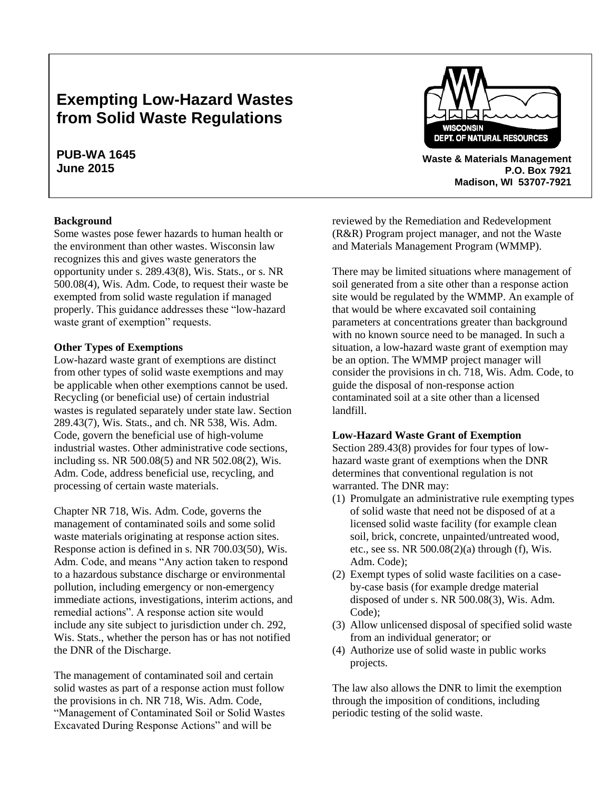# **Exempting Low-Hazard Wastes from Solid Waste Regulations**

## **PUB-WA 1645 June 2015**

### **Background**

Some wastes pose fewer hazards to human health or the environment than other wastes. Wisconsin law recognizes this and gives waste generators the opportunity under s. 289.43(8), Wis. Stats., or s. NR 500.08(4), Wis. Adm. Code, to request their waste be exempted from solid waste regulation if managed properly. This guidance addresses these "low-hazard waste grant of exemption" requests.

### **Other Types of Exemptions**

Low-hazard waste grant of exemptions are distinct from other types of solid waste exemptions and may be applicable when other exemptions cannot be used. Recycling (or beneficial use) of certain industrial wastes is regulated separately under state law. Section 289.43(7), Wis. Stats., and ch. NR 538, Wis. Adm. Code, govern the beneficial use of high-volume industrial wastes. Other administrative code sections, including ss. NR 500.08(5) and NR 502.08(2), Wis. Adm. Code, address beneficial use, recycling, and processing of certain waste materials.

Chapter NR 718, Wis. Adm. Code, governs the management of contaminated soils and some solid waste materials originating at response action sites. Response action is defined in s. NR 700.03(50), Wis. Adm. Code, and means "Any action taken to respond to a hazardous substance discharge or environmental pollution, including emergency or non-emergency immediate actions, investigations, interim actions, and remedial actions". A response action site would include any site subject to jurisdiction under ch. 292, Wis. Stats., whether the person has or has not notified the DNR of the Discharge.

The management of contaminated soil and certain solid wastes as part of a response action must follow the provisions in ch. NR 718, Wis. Adm. Code, "Management of Contaminated Soil or Solid Wastes Excavated During Response Actions" and will be



**Waste & Materials Management P.O. Box 7921 Madison, WI 53707-7921**

reviewed by the Remediation and Redevelopment (R&R) Program project manager, and not the Waste and Materials Management Program (WMMP).

There may be limited situations where management of soil generated from a site other than a response action site would be regulated by the WMMP. An example of that would be where excavated soil containing parameters at concentrations greater than background with no known source need to be managed. In such a situation, a low-hazard waste grant of exemption may be an option. The WMMP project manager will consider the provisions in ch. 718, Wis. Adm. Code, to guide the disposal of non-response action contaminated soil at a site other than a licensed landfill.

### **Low-Hazard Waste Grant of Exemption**

Section 289.43(8) provides for four types of lowhazard waste grant of exemptions when the DNR determines that conventional regulation is not warranted. The DNR may:

- (1) Promulgate an administrative rule exempting types of solid waste that need not be disposed of at a licensed solid waste facility (for example clean soil, brick, concrete, unpainted/untreated wood, etc., see ss. NR  $500.08(2)(a)$  through (f), Wis. Adm. Code);
- (2) Exempt types of solid waste facilities on a caseby-case basis (for example dredge material disposed of under s. NR 500.08(3), Wis. Adm. Code);
- (3) Allow unlicensed disposal of specified solid waste from an individual generator; or
- (4) Authorize use of solid waste in public works projects.

The law also allows the DNR to limit the exemption through the imposition of conditions, including periodic testing of the solid waste.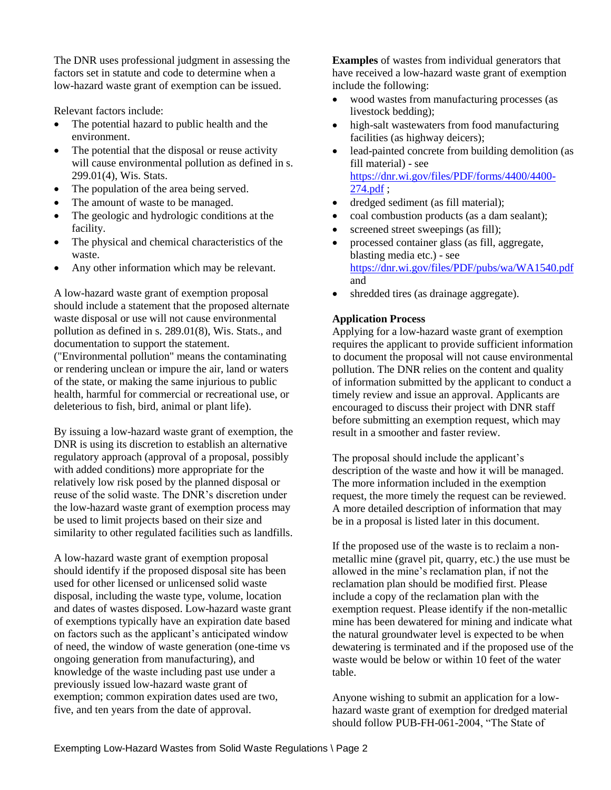The DNR uses professional judgment in assessing the factors set in statute and code to determine when a low-hazard waste grant of exemption can be issued.

Relevant factors include:

- The potential hazard to public health and the environment.
- The potential that the disposal or reuse activity will cause environmental pollution as defined in s. 299.01(4), Wis. Stats.
- The population of the area being served.
- The amount of waste to be managed.
- The geologic and hydrologic conditions at the facility.
- The physical and chemical characteristics of the waste.
- Any other information which may be relevant.

A low-hazard waste grant of exemption proposal should include a statement that the proposed alternate waste disposal or use will not cause environmental pollution as defined in s. 289.01(8), Wis. Stats., and documentation to support the statement. ("Environmental pollution" means the contaminating or rendering unclean or impure the air, land or waters of the state, or making the same injurious to public health, harmful for commercial or recreational use, or deleterious to fish, bird, animal or plant life).

By issuing a low-hazard waste grant of exemption, the DNR is using its discretion to establish an alternative regulatory approach (approval of a proposal, possibly with added conditions) more appropriate for the relatively low risk posed by the planned disposal or reuse of the solid waste. The DNR's discretion under the low-hazard waste grant of exemption process may be used to limit projects based on their size and similarity to other regulated facilities such as landfills.

A low-hazard waste grant of exemption proposal should identify if the proposed disposal site has been used for other licensed or unlicensed solid waste disposal, including the waste type, volume, location and dates of wastes disposed. Low-hazard waste grant of exemptions typically have an expiration date based on factors such as the applicant's anticipated window of need, the window of waste generation (one-time vs ongoing generation from manufacturing), and knowledge of the waste including past use under a previously issued low-hazard waste grant of exemption; common expiration dates used are two, five, and ten years from the date of approval.

**Examples** of wastes from individual generators that have received a low-hazard waste grant of exemption include the following:

- wood wastes from manufacturing processes (as livestock bedding);
- high-salt wastewaters from food manufacturing facilities (as highway deicers);
- lead-painted concrete from building demolition (as fill material) - see [https://dnr.wi.gov/files/PDF/forms/4400/4400-](https://dnr.wi.gov/files/PDF/forms/4400/4400-274.pdf) [274.pdf](https://dnr.wi.gov/files/PDF/forms/4400/4400-274.pdf) ;
- dredged sediment (as fill material);
- coal combustion products (as a dam sealant);
- screened street sweepings (as fill);
- processed container glass (as fill, aggregate, blasting media etc.) - see <https://dnr.wi.gov/files/PDF/pubs/wa/WA1540.pdf> and
- shredded tires (as drainage aggregate).

## **Application Process**

Applying for a low-hazard waste grant of exemption requires the applicant to provide sufficient information to document the proposal will not cause environmental pollution. The DNR relies on the content and quality of information submitted by the applicant to conduct a timely review and issue an approval. Applicants are encouraged to discuss their project with DNR staff before submitting an exemption request, which may result in a smoother and faster review.

The proposal should include the applicant's description of the waste and how it will be managed. The more information included in the exemption request, the more timely the request can be reviewed. A more detailed description of information that may be in a proposal is listed later in this document.

If the proposed use of the waste is to reclaim a nonmetallic mine (gravel pit, quarry, etc.) the use must be allowed in the mine's reclamation plan, if not the reclamation plan should be modified first. Please include a copy of the reclamation plan with the exemption request. Please identify if the non-metallic mine has been dewatered for mining and indicate what the natural groundwater level is expected to be when dewatering is terminated and if the proposed use of the waste would be below or within 10 feet of the water table.

Anyone wishing to submit an application for a lowhazard waste grant of exemption for dredged material should follow PUB-FH-061-2004, "The State of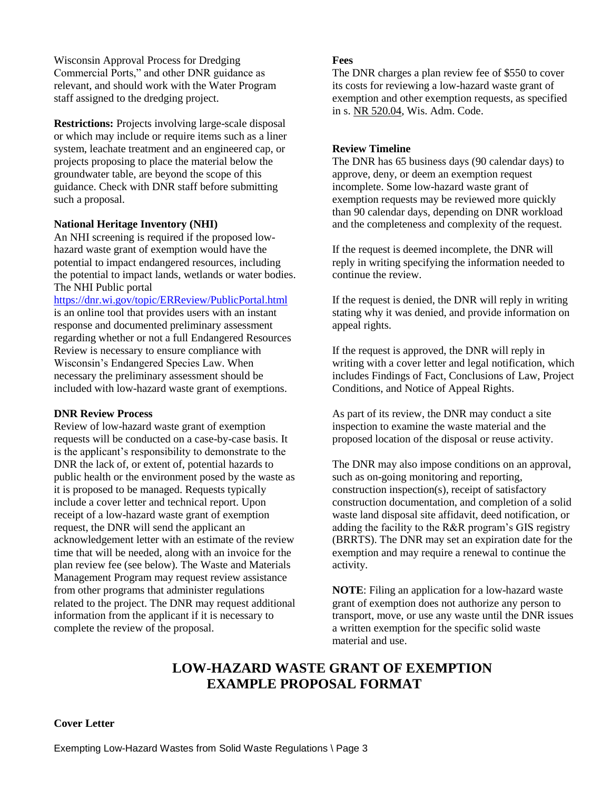Wisconsin Approval Process for Dredging Commercial Ports," and other DNR guidance as relevant, and should work with the Water Program staff assigned to the dredging project.

**Restrictions:** Projects involving large-scale disposal or which may include or require items such as a liner system, leachate treatment and an engineered cap, or projects proposing to place the material below the groundwater table, are beyond the scope of this guidance. Check with DNR staff before submitting such a proposal.

### **National Heritage Inventory (NHI)**

An NHI screening is required if the proposed lowhazard waste grant of exemption would have the potential to impact endangered resources, including the potential to impact lands, wetlands or water bodies. The NHI Public portal

<https://dnr.wi.gov/topic/ERReview/PublicPortal.html>

is an online tool that provides users with an instant response and documented preliminary assessment regarding whether or not a full Endangered Resources Review is necessary to ensure compliance with Wisconsin's Endangered Species Law. When necessary the preliminary assessment should be included with low-hazard waste grant of exemptions.

### **DNR Review Process**

Review of low-hazard waste grant of exemption requests will be conducted on a case-by-case basis. It is the applicant's responsibility to demonstrate to the DNR the lack of, or extent of, potential hazards to public health or the environment posed by the waste as it is proposed to be managed. Requests typically include a cover letter and technical report. Upon receipt of a low-hazard waste grant of exemption request, the DNR will send the applicant an acknowledgement letter with an estimate of the review time that will be needed, along with an invoice for the plan review fee (see below). The Waste and Materials Management Program may request review assistance from other programs that administer regulations related to the project. The DNR may request additional information from the applicant if it is necessary to complete the review of the proposal.

### **Fees**

The DNR charges a plan review fee of \$550 to cover its costs for reviewing a low-hazard waste grant of exemption and other exemption requests, as specified in s. [NR 520.04,](http://docs.legis.wi.gov/document/administrativecode/NR%20520.04) Wis. Adm. Code.

### **Review Timeline**

The DNR has 65 business days (90 calendar days) to approve, deny, or deem an exemption request incomplete. Some low-hazard waste grant of exemption requests may be reviewed more quickly than 90 calendar days, depending on DNR workload and the completeness and complexity of the request.

If the request is deemed incomplete, the DNR will reply in writing specifying the information needed to continue the review.

If the request is denied, the DNR will reply in writing stating why it was denied, and provide information on appeal rights.

If the request is approved, the DNR will reply in writing with a cover letter and legal notification, which includes Findings of Fact, Conclusions of Law, Project Conditions, and Notice of Appeal Rights.

As part of its review, the DNR may conduct a site inspection to examine the waste material and the proposed location of the disposal or reuse activity.

The DNR may also impose conditions on an approval, such as on-going monitoring and reporting, construction inspection(s), receipt of satisfactory construction documentation, and completion of a solid waste land disposal site affidavit, deed notification, or adding the facility to the R&R program's GIS registry (BRRTS). The DNR may set an expiration date for the exemption and may require a renewal to continue the activity.

**NOTE**: Filing an application for a low-hazard waste grant of exemption does not authorize any person to transport, move, or use any waste until the DNR issues a written exemption for the specific solid waste material and use.

## **LOW-HAZARD WASTE GRANT OF EXEMPTION EXAMPLE PROPOSAL FORMAT**

#### **Cover Letter**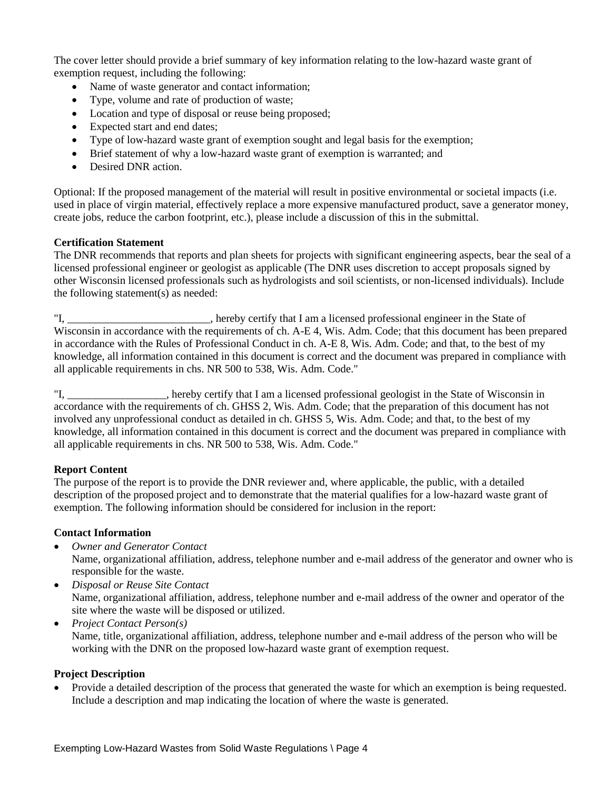The cover letter should provide a brief summary of key information relating to the low-hazard waste grant of exemption request, including the following:

- Name of waste generator and contact information;
- Type, volume and rate of production of waste;
- Location and type of disposal or reuse being proposed;
- Expected start and end dates;
- Type of low-hazard waste grant of exemption sought and legal basis for the exemption;
- Brief statement of why a low-hazard waste grant of exemption is warranted; and
- Desired DNR action.

Optional: If the proposed management of the material will result in positive environmental or societal impacts (i.e. used in place of virgin material, effectively replace a more expensive manufactured product, save a generator money, create jobs, reduce the carbon footprint, etc.), please include a discussion of this in the submittal.

### **Certification Statement**

The DNR recommends that reports and plan sheets for projects with significant engineering aspects, bear the seal of a licensed professional engineer or geologist as applicable (The DNR uses discretion to accept proposals signed by other Wisconsin licensed professionals such as hydrologists and soil scientists, or non-licensed individuals). Include the following statement(s) as needed:

"I, \_\_\_\_\_\_\_\_\_\_\_\_\_\_\_\_\_\_\_\_\_\_\_\_\_\_, hereby certify that I am a licensed professional engineer in the State of Wisconsin in accordance with the requirements of ch. A-E 4, Wis. Adm. Code; that this document has been prepared in accordance with the Rules of Professional Conduct in ch. A-E 8, Wis. Adm. Code; and that, to the best of my knowledge, all information contained in this document is correct and the document was prepared in compliance with all applicable requirements in chs. NR 500 to 538, Wis. Adm. Code."

"I, \_\_\_\_\_\_\_\_\_\_\_\_\_\_\_\_\_\_, hereby certify that I am a licensed professional geologist in the State of Wisconsin in accordance with the requirements of ch. GHSS 2, Wis. Adm. Code; that the preparation of this document has not involved any unprofessional conduct as detailed in ch. GHSS 5, Wis. Adm. Code; and that, to the best of my knowledge, all information contained in this document is correct and the document was prepared in compliance with all applicable requirements in chs. NR 500 to 538, Wis. Adm. Code."

## **Report Content**

The purpose of the report is to provide the DNR reviewer and, where applicable, the public, with a detailed description of the proposed project and to demonstrate that the material qualifies for a low-hazard waste grant of exemption. The following information should be considered for inclusion in the report:

### **Contact Information**

- *Owner and Generator Contact*  Name, organizational affiliation, address, telephone number and e-mail address of the generator and owner who is responsible for the waste.
- *Disposal or Reuse Site Contact*  Name, organizational affiliation, address, telephone number and e-mail address of the owner and operator of the site where the waste will be disposed or utilized.
- *Project Contact Person(s)* Name, title, organizational affiliation, address, telephone number and e-mail address of the person who will be working with the DNR on the proposed low-hazard waste grant of exemption request.

### **Project Description**

• Provide a detailed description of the process that generated the waste for which an exemption is being requested. Include a description and map indicating the location of where the waste is generated.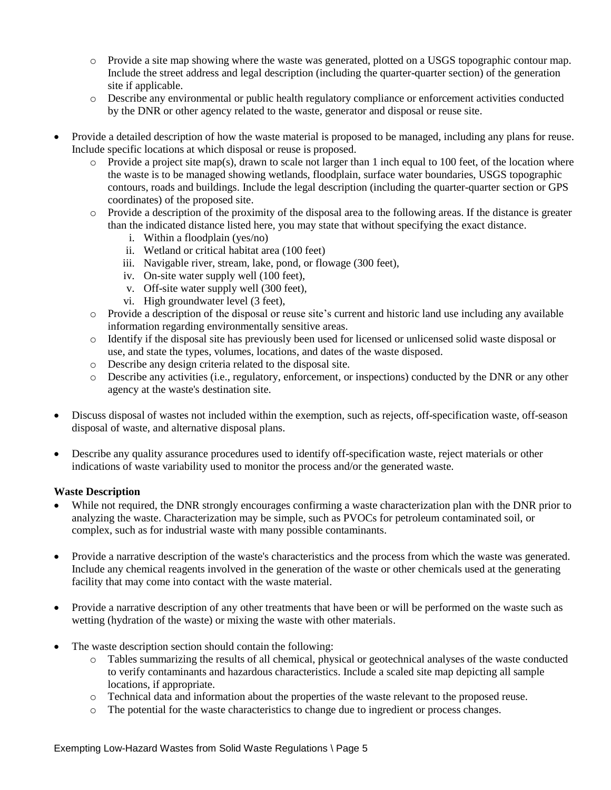- o Provide a site map showing where the waste was generated, plotted on a USGS topographic contour map. Include the street address and legal description (including the quarter-quarter section) of the generation site if applicable.
- o Describe any environmental or public health regulatory compliance or enforcement activities conducted by the DNR or other agency related to the waste, generator and disposal or reuse site.
- Provide a detailed description of how the waste material is proposed to be managed, including any plans for reuse. Include specific locations at which disposal or reuse is proposed.
	- $\circ$  Provide a project site map(s), drawn to scale not larger than 1 inch equal to 100 feet, of the location where the waste is to be managed showing wetlands, floodplain, surface water boundaries, USGS topographic contours, roads and buildings. Include the legal description (including the quarter-quarter section or GPS coordinates) of the proposed site.
	- o Provide a description of the proximity of the disposal area to the following areas. If the distance is greater than the indicated distance listed here, you may state that without specifying the exact distance.
		- i. Within a floodplain (yes/no)
		- ii. Wetland or critical habitat area (100 feet)
		- iii. Navigable river, stream, lake, pond, or flowage (300 feet),
		- iv. On-site water supply well (100 feet),
		- v. Off-site water supply well (300 feet),
		- vi. High groundwater level (3 feet),
	- o Provide a description of the disposal or reuse site's current and historic land use including any available information regarding environmentally sensitive areas.
	- o Identify if the disposal site has previously been used for licensed or unlicensed solid waste disposal or use, and state the types, volumes, locations, and dates of the waste disposed.
	- o Describe any design criteria related to the disposal site.
	- o Describe any activities (i.e., regulatory, enforcement, or inspections) conducted by the DNR or any other agency at the waste's destination site.
- Discuss disposal of wastes not included within the exemption, such as rejects, off-specification waste, off-season disposal of waste, and alternative disposal plans.
- Describe any quality assurance procedures used to identify off-specification waste, reject materials or other indications of waste variability used to monitor the process and/or the generated waste.

### **Waste Description**

- While not required, the DNR strongly encourages confirming a waste characterization plan with the DNR prior to analyzing the waste. Characterization may be simple, such as PVOCs for petroleum contaminated soil, or complex, such as for industrial waste with many possible contaminants.
- Provide a narrative description of the waste's characteristics and the process from which the waste was generated. Include any chemical reagents involved in the generation of the waste or other chemicals used at the generating facility that may come into contact with the waste material.
- Provide a narrative description of any other treatments that have been or will be performed on the waste such as wetting (hydration of the waste) or mixing the waste with other materials.
- The waste description section should contain the following:
	- o Tables summarizing the results of all chemical, physical or geotechnical analyses of the waste conducted to verify contaminants and hazardous characteristics. Include a scaled site map depicting all sample locations, if appropriate.
	- o Technical data and information about the properties of the waste relevant to the proposed reuse.
	- o The potential for the waste characteristics to change due to ingredient or process changes.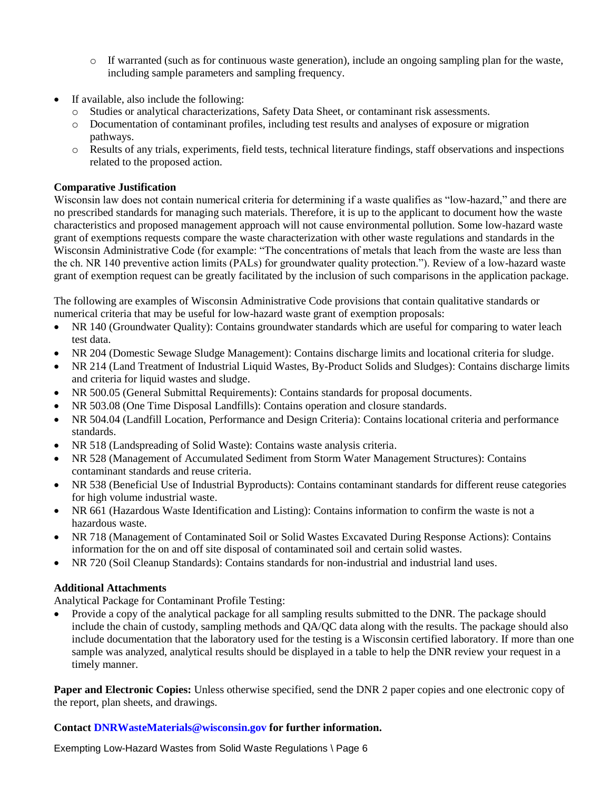- o If warranted (such as for continuous waste generation), include an ongoing sampling plan for the waste, including sample parameters and sampling frequency.
- If available, also include the following:
	- o Studies or analytical characterizations, Safety Data Sheet, or contaminant risk assessments.
	- o Documentation of contaminant profiles, including test results and analyses of exposure or migration pathways.
	- o Results of any trials, experiments, field tests, technical literature findings, staff observations and inspections related to the proposed action.

## **Comparative Justification**

Wisconsin law does not contain numerical criteria for determining if a waste qualifies as "low-hazard," and there are no prescribed standards for managing such materials. Therefore, it is up to the applicant to document how the waste characteristics and proposed management approach will not cause environmental pollution. Some low-hazard waste grant of exemptions requests compare the waste characterization with other waste regulations and standards in the Wisconsin Administrative Code (for example: "The concentrations of metals that leach from the waste are less than the ch. NR 140 preventive action limits (PALs) for groundwater quality protection."). Review of a low-hazard waste grant of exemption request can be greatly facilitated by the inclusion of such comparisons in the application package.

The following are examples of Wisconsin Administrative Code provisions that contain qualitative standards or numerical criteria that may be useful for low-hazard waste grant of exemption proposals:

- NR 140 (Groundwater Quality): Contains groundwater standards which are useful for comparing to water leach test data.
- NR 204 (Domestic Sewage Sludge Management): Contains discharge limits and locational criteria for sludge.
- NR 214 (Land Treatment of Industrial Liquid Wastes, By-Product Solids and Sludges): Contains discharge limits and criteria for liquid wastes and sludge.
- NR 500.05 (General Submittal Requirements): Contains standards for proposal documents.
- NR 503.08 (One Time Disposal Landfills): Contains operation and closure standards.
- NR 504.04 (Landfill Location, Performance and Design Criteria): Contains locational criteria and performance standards.
- NR 518 (Landspreading of Solid Waste): Contains waste analysis criteria.
- NR 528 (Management of Accumulated Sediment from Storm Water Management Structures): Contains contaminant standards and reuse criteria.
- NR 538 (Beneficial Use of Industrial Byproducts): Contains contaminant standards for different reuse categories for high volume industrial waste.
- NR 661 (Hazardous Waste Identification and Listing): Contains information to confirm the waste is not a hazardous waste.
- NR 718 (Management of Contaminated Soil or Solid Wastes Excavated During Response Actions): Contains information for the on and off site disposal of contaminated soil and certain solid wastes.
- NR 720 (Soil Cleanup Standards): Contains standards for non-industrial and industrial land uses.

### **Additional Attachments**

Analytical Package for Contaminant Profile Testing:

• Provide a copy of the analytical package for all sampling results submitted to the DNR. The package should include the chain of custody, sampling methods and QA/QC data along with the results. The package should also include documentation that the laboratory used for the testing is a Wisconsin certified laboratory. If more than one sample was analyzed, analytical results should be displayed in a table to help the DNR review your request in a timely manner.

**Paper and Electronic Copies:** Unless otherwise specified, send the DNR 2 paper copies and one electronic copy of the report, plan sheets, and drawings.

### **Contact DNRWasteMaterials@wisconsin.gov for further information.**

Exempting Low-Hazard Wastes from Solid Waste Regulations \ Page 6